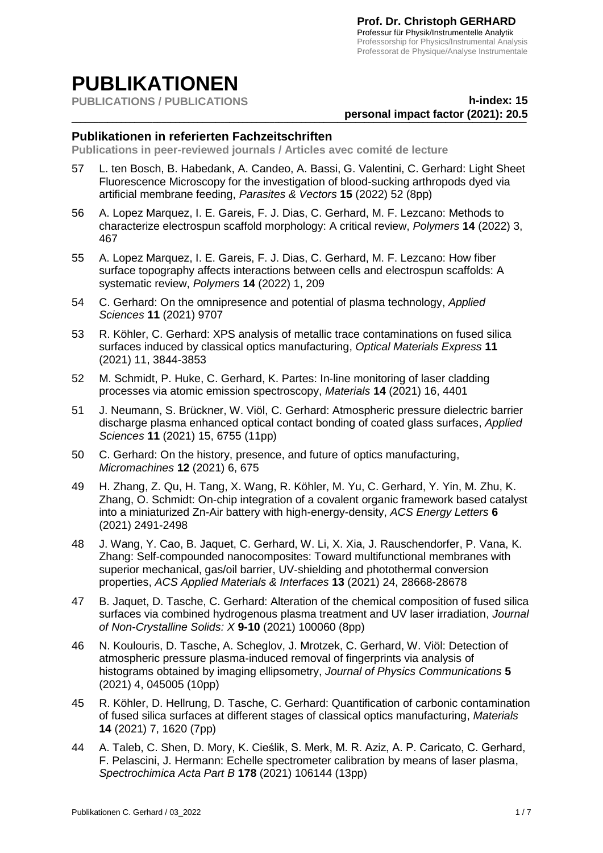# **PUBLIKATIONEN**

**PUBLICATIONS / PUBLICATIONS**

## \_\_\_\_\_\_\_\_\_\_\_\_\_\_\_\_\_\_\_\_\_\_\_\_\_\_\_\_\_\_\_\_\_\_\_\_\_\_\_\_\_\_\_\_\_\_\_\_\_\_\_\_\_\_\_\_\_\_\_\_\_\_\_\_\_\_\_\_\_\_\_\_\_\_\_\_\_\_\_\_\_\_\_\_\_\_\_\_\_\_\_\_\_\_\_\_\_\_\_\_\_ **personal impact factor (2021): 20.5h-index: 15**

#### **Publikationen in referierten Fachzeitschriften**

**Publications in peer-reviewed journals / Articles avec comité de lecture**

- 57 L. ten Bosch, B. Habedank, A. Candeo, A. Bassi, G. Valentini, C. Gerhard: Light Sheet Fluorescence Microscopy for the investigation of blood-sucking arthropods dyed via artificial membrane feeding, *Parasites & Vectors* **15** (2022) 52 (8pp)
- 56 A. Lopez Marquez, I. E. Gareis, F. J. Dias, C. Gerhard, M. F. Lezcano: Methods to characterize electrospun scaffold morphology: A critical review, *Polymers* **14** (2022) 3, 467
- 55 A. Lopez Marquez, I. E. Gareis, F. J. Dias, C. Gerhard, M. F. Lezcano: How fiber surface topography affects interactions between cells and electrospun scaffolds: A systematic review, *Polymers* **14** (2022) 1, 209
- 54 C. Gerhard: On the omnipresence and potential of plasma technology, *Applied Sciences* **11** (2021) 9707
- 53 R. Köhler, C. Gerhard: XPS analysis of metallic trace contaminations on fused silica surfaces induced by classical optics manufacturing, *Optical Materials Express* **11** (2021) 11, 3844-3853
- 52 M. Schmidt, P. Huke, C. Gerhard, K. Partes: In-line monitoring of laser cladding processes via atomic emission spectroscopy, *Materials* **14** (2021) 16, 4401
- 51 J. Neumann, S. Brückner, W. Viöl, C. Gerhard: Atmospheric pressure dielectric barrier discharge plasma enhanced optical contact bonding of coated glass surfaces, *Applied Sciences* **11** (2021) 15, 6755 (11pp)
- 50 C. Gerhard: On the history, presence, and future of optics manufacturing, *Micromachines* **12** (2021) 6, 675
- 49 H. Zhang, Z. Qu, H. Tang, X. Wang, R. Köhler, M. Yu, C. Gerhard, Y. Yin, M. Zhu, K. Zhang, O. Schmidt: On-chip integration of a covalent organic framework based catalyst into a miniaturized Zn-Air battery with high-energy-density, *ACS Energy Letters* **6** (2021) 2491-2498
- 48 J. Wang, Y. Cao, B. Jaquet, C. Gerhard, W. Li, X. Xia, J. Rauschendorfer, P. Vana, K. Zhang: Self-compounded nanocomposites: Toward multifunctional membranes with superior mechanical, gas/oil barrier, UV-shielding and photothermal conversion properties, *ACS Applied Materials & Interfaces* **13** (2021) 24, 28668-28678
- 47 B. Jaquet, D. Tasche, C. Gerhard: Alteration of the chemical composition of fused silica surfaces via combined hydrogenous plasma treatment and UV laser irradiation, *Journal of Non-Crystalline Solids: X* **9-10** (2021) 100060 (8pp)
- 46 N. Koulouris, D. Tasche, A. Scheglov, J. Mrotzek, C. Gerhard, W. Viöl: Detection of atmospheric pressure plasma-induced removal of fingerprints via analysis of histograms obtained by imaging ellipsometry, *Journal of Physics Communications* **5** (2021) 4, 045005 (10pp)
- 45 R. Köhler, D. Hellrung, D. Tasche, C. Gerhard: Quantification of carbonic contamination of fused silica surfaces at different stages of classical optics manufacturing, *Materials* **14** (2021) 7, 1620 (7pp)
- 44 A. Taleb, C. Shen, D. Mory, K. Cieślik, S. Merk, M. R. Aziz, A. P. Caricato, C. Gerhard, F. Pelascini, J. Hermann: Echelle spectrometer calibration by means of laser plasma, *Spectrochimica Acta Part B* **178** (2021) 106144 (13pp)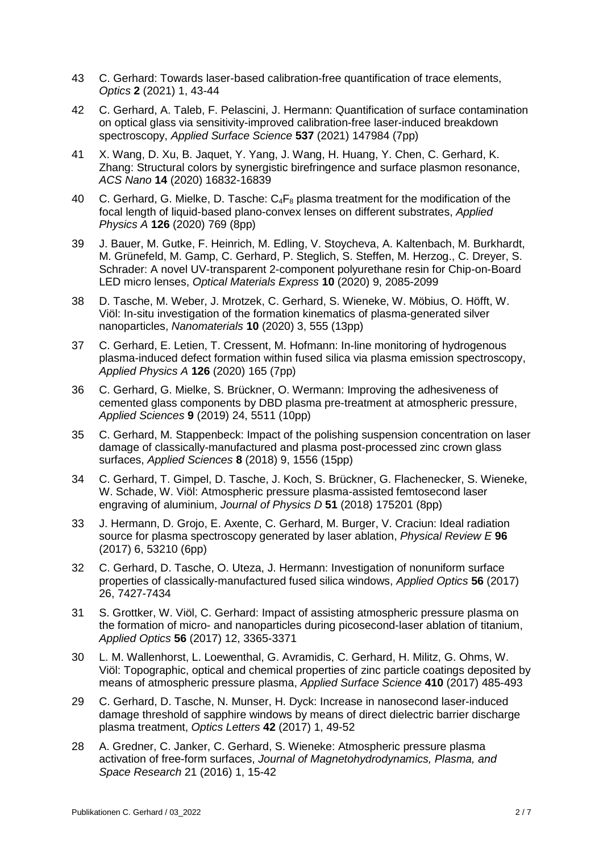- 43 C. Gerhard: Towards laser-based calibration-free quantification of trace elements, *Optics* **2** (2021) 1, 43-44
- 42 C. Gerhard, A. Taleb, F. Pelascini, J. Hermann: Quantification of surface contamination on optical glass via sensitivity-improved calibration-free laser-induced breakdown spectroscopy, *Applied Surface Science* **537** (2021) 147984 (7pp)
- 41 X. Wang, D. Xu, B. Jaquet, Y. Yang, J. Wang, H. Huang, Y. Chen, C. Gerhard, K. Zhang: Structural colors by synergistic birefringence and surface plasmon resonance, *ACS Nano* **14** (2020) 16832-16839
- 40 C. Gerhard, G. Mielke, D. Tasche:  $C_4F_8$  plasma treatment for the modification of the focal length of liquid-based plano-convex lenses on different substrates, *Applied Physics A* **126** (2020) 769 (8pp)
- 39 J. Bauer, M. Gutke, F. Heinrich, M. Edling, V. Stoycheva, A. Kaltenbach, M. Burkhardt, M. Grünefeld, M. Gamp, C. Gerhard, P. Steglich, S. Steffen, M. Herzog., C. Dreyer, S. Schrader: A novel UV-transparent 2-component polyurethane resin for Chip-on-Board LED micro lenses, *Optical Materials Express* **10** (2020) 9, 2085-2099
- 38 D. Tasche, M. Weber, J. Mrotzek, C. Gerhard, S. Wieneke, W. Möbius, O. Höfft, W. Viöl: In-situ investigation of the formation kinematics of plasma-generated silver nanoparticles, *Nanomaterials* **10** (2020) 3, 555 (13pp)
- 37 C. Gerhard, E. Letien, T. Cressent, M. Hofmann: In-line monitoring of hydrogenous plasma-induced defect formation within fused silica via plasma emission spectroscopy, *Applied Physics A* **126** (2020) 165 (7pp)
- 36 C. Gerhard, G. Mielke, S. Brückner, O. Wermann: Improving the adhesiveness of cemented glass components by DBD plasma pre-treatment at atmospheric pressure, *Applied Sciences* **9** (2019) 24, 5511 (10pp)
- 35 C. Gerhard, M. Stappenbeck: Impact of the polishing suspension concentration on laser damage of classically-manufactured and plasma post-processed zinc crown glass surfaces, *Applied Sciences* **8** (2018) 9, 1556 (15pp)
- 34 C. Gerhard, T. Gimpel, D. Tasche, J. Koch, S. Brückner, G. Flachenecker, S. Wieneke, W. Schade, W. Viöl: Atmospheric pressure plasma-assisted femtosecond laser engraving of aluminium, *Journal of Physics D* **51** (2018) 175201 (8pp)
- 33 J. Hermann, D. Grojo, E. Axente, C. Gerhard, M. Burger, V. Craciun: Ideal radiation source for plasma spectroscopy generated by laser ablation, *Physical Review E* **96** (2017) 6, 53210 (6pp)
- 32 C. Gerhard, D. Tasche, O. Uteza, J. Hermann: Investigation of nonuniform surface properties of classically-manufactured fused silica windows, *Applied Optics* **56** (2017) 26, 7427-7434
- 31 S. Grottker, W. Viöl, C. Gerhard: Impact of assisting atmospheric pressure plasma on the formation of micro- and nanoparticles during picosecond-laser ablation of titanium, *Applied Optics* **56** (2017) 12, 3365-3371
- 30 L. M. Wallenhorst, L. Loewenthal, G. Avramidis, C. Gerhard, H. Militz, G. Ohms, W. Viöl: Topographic, optical and chemical properties of zinc particle coatings deposited by means of atmospheric pressure plasma, *Applied Surface Science* **410** (2017) 485-493
- 29 C. Gerhard, D. Tasche, N. Munser, H. Dyck: Increase in nanosecond laser-induced damage threshold of sapphire windows by means of direct dielectric barrier discharge plasma treatment, *Optics Letters* **42** (2017) 1, 49-52
- 28 A. Gredner, C. Janker, C. Gerhard, S. Wieneke: Atmospheric pressure plasma activation of free-form surfaces, *Journal of Magnetohydrodynamics, Plasma, and Space Research* 21 (2016) 1, 15-42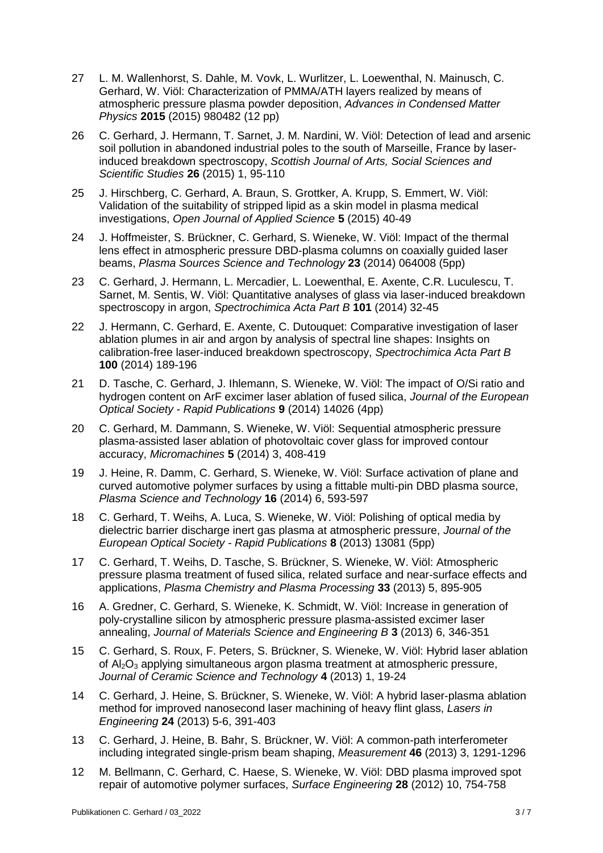- 27 L. M. Wallenhorst, S. Dahle, M. Vovk, L. Wurlitzer, L. Loewenthal, N. Mainusch, C. Gerhard, W. Viöl: Characterization of PMMA/ATH layers realized by means of atmospheric pressure plasma powder deposition, *Advances in Condensed Matter Physics* **2015** (2015) 980482 (12 pp)
- 26 C. Gerhard, J. Hermann, T. Sarnet, J. M. Nardini, W. Viöl: Detection of lead and arsenic soil pollution in abandoned industrial poles to the south of Marseille, France by laserinduced breakdown spectroscopy, *Scottish Journal of Arts, Social Sciences and Scientific Studies* **26** (2015) 1, 95-110
- 25 J. Hirschberg, C. Gerhard, A. Braun, S. Grottker, A. Krupp, S. Emmert, W. Viöl: Validation of the suitability of stripped lipid as a skin model in plasma medical investigations, *Open Journal of Applied Science* **5** (2015) 40-49
- 24 J. Hoffmeister, S. Brückner, C. Gerhard, S. Wieneke, W. Viöl: Impact of the thermal lens effect in atmospheric pressure DBD-plasma columns on coaxially guided laser beams, *Plasma Sources Science and Technology* **23** (2014) 064008 (5pp)
- 23 C. Gerhard, J. Hermann, L. Mercadier, L. Loewenthal, E. Axente, C.R. Luculescu, T. Sarnet, M. Sentis, W. Viöl: Quantitative analyses of glass via laser-induced breakdown spectroscopy in argon, *Spectrochimica Acta Part B* **101** (2014) 32-45
- 22 J. Hermann, C. Gerhard, E. Axente, C. Dutouquet: Comparative investigation of laser ablation plumes in air and argon by analysis of spectral line shapes: Insights on calibration-free laser-induced breakdown spectroscopy, *Spectrochimica Acta Part B* **100** (2014) 189-196
- 21 D. Tasche, C. Gerhard, J. Ihlemann, S. Wieneke, W. Viöl: The impact of O/Si ratio and hydrogen content on ArF excimer laser ablation of fused silica, *Journal of the European Optical Society - Rapid Publications* **9** (2014) 14026 (4pp)
- 20 C. Gerhard, M. Dammann, S. Wieneke, W. Viöl: Sequential atmospheric pressure plasma-assisted laser ablation of photovoltaic cover glass for improved contour accuracy, *Micromachines* **5** (2014) 3, 408-419
- 19 J. Heine, R. Damm, C. Gerhard, S. Wieneke, W. Viöl: Surface activation of plane and curved automotive polymer surfaces by using a fittable multi-pin DBD plasma source, *Plasma Science and Technology* **16** (2014) 6, 593-597
- 18 C. Gerhard, T. Weihs, A. Luca, S. Wieneke, W. Viöl: Polishing of optical media by dielectric barrier discharge inert gas plasma at atmospheric pressure, *Journal of the European Optical Society - Rapid Publications* **8** (2013) 13081 (5pp)
- 17 C. Gerhard, T. Weihs, D. Tasche, S. Brückner, S. Wieneke, W. Viöl: Atmospheric pressure plasma treatment of fused silica, related surface and near-surface effects and applications, *Plasma Chemistry and Plasma Processing* **33** (2013) 5, 895-905
- 16 A. Gredner, C. Gerhard, S. Wieneke, K. Schmidt, W. Viöl: Increase in generation of poly-crystalline silicon by atmospheric pressure plasma-assisted excimer laser annealing, *Journal of Materials Science and Engineering B* **3** (2013) 6, 346-351
- 15 C. Gerhard, S. Roux, F. Peters, S. Brückner, S. Wieneke, W. Viöl: Hybrid laser ablation of Al2O<sup>3</sup> applying simultaneous argon plasma treatment at atmospheric pressure, *Journal of Ceramic Science and Technology* **4** (2013) 1, 19-24
- 14 C. Gerhard, J. Heine, S. Brückner, S. Wieneke, W. Viöl: A hybrid laser-plasma ablation method for improved nanosecond laser machining of heavy flint glass, *Lasers in Engineering* **24** (2013) 5-6, 391-403
- 13 C. Gerhard, J. Heine, B. Bahr, S. Brückner, W. Viöl: A common-path interferometer including integrated single-prism beam shaping, *Measurement* **46** (2013) 3, 1291-1296
- 12 M. Bellmann, C. Gerhard, C. Haese, S. Wieneke, W. Viöl: DBD plasma improved spot repair of automotive polymer surfaces, *Surface Engineering* **28** (2012) 10, 754-758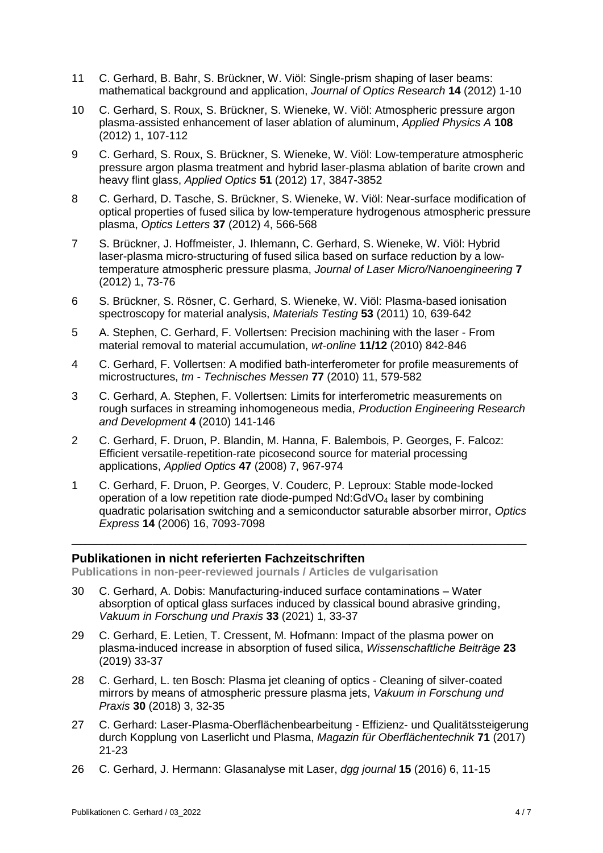- 11 C. Gerhard, B. Bahr, S. Brückner, W. Viöl: Single-prism shaping of laser beams: mathematical background and application, *Journal of Optics Research* **14** (2012) 1-10
- 10 C. Gerhard, S. Roux, S. Brückner, S. Wieneke, W. Viöl: Atmospheric pressure argon plasma-assisted enhancement of laser ablation of aluminum, *Applied Physics A* **108** (2012) 1, 107-112
- 9 C. Gerhard, S. Roux, S. Brückner, S. Wieneke, W. Viöl: Low-temperature atmospheric pressure argon plasma treatment and hybrid laser-plasma ablation of barite crown and heavy flint glass, *Applied Optics* **51** (2012) 17, 3847-3852
- 8 C. Gerhard, D. Tasche, S. Brückner, S. Wieneke, W. Viöl: Near-surface modification of optical properties of fused silica by low-temperature hydrogenous atmospheric pressure plasma, *Optics Letters* **37** (2012) 4, 566-568
- 7 S. Brückner, J. Hoffmeister, J. Ihlemann, C. Gerhard, S. Wieneke, W. Viöl: Hybrid laser-plasma micro-structuring of fused silica based on surface reduction by a lowtemperature atmospheric pressure plasma, *Journal of Laser Micro/Nanoengineering* **7** (2012) 1, 73-76
- 6 S. Brückner, S. Rösner, C. Gerhard, S. Wieneke, W. Viöl: Plasma-based ionisation spectroscopy for material analysis, *Materials Testing* **53** (2011) 10, 639-642
- 5 A. Stephen, C. Gerhard, F. Vollertsen: Precision machining with the laser From material removal to material accumulation, *wt-online* **11/12** (2010) 842-846
- 4 C. Gerhard, F. Vollertsen: A modified bath-interferometer for profile measurements of microstructures, *tm - Technisches Messen* **77** (2010) 11, 579-582
- 3 C. Gerhard, A. Stephen, F. Vollertsen: Limits for interferometric measurements on rough surfaces in streaming inhomogeneous media, *Production Engineering Research and Development* **4** (2010) 141-146
- 2 C. Gerhard, F. Druon, P. Blandin, M. Hanna, F. Balembois, P. Georges, F. Falcoz: Efficient versatile-repetition-rate picosecond source for material processing applications, *Applied Optics* **47** (2008) 7, 967-974
- 1 C. Gerhard, F. Druon, P. Georges, V. Couderc, P. Leproux: Stable mode-locked operation of a low repetition rate diode-pumped  $Nd:GdVO<sub>4</sub>$  laser by combining quadratic polarisation switching and a semiconductor saturable absorber mirror, *Optics Express* **14** (2006) 16, 7093-7098

\_\_\_\_\_\_\_\_\_\_\_\_\_\_\_\_\_\_\_\_\_\_\_\_\_\_\_\_\_\_\_\_\_\_\_\_\_\_\_\_\_\_\_\_\_\_\_\_\_\_\_\_\_\_\_\_\_\_\_\_\_\_\_\_\_\_\_\_\_\_\_\_\_\_\_\_\_\_\_\_\_\_\_\_\_\_\_\_\_\_\_\_\_\_\_\_\_\_\_\_\_

#### **Publikationen in nicht referierten Fachzeitschriften**

**Publications in non-peer-reviewed journals / Articles de vulgarisation**

- 30 C. Gerhard, A. Dobis: Manufacturing‐induced surface contaminations Water absorption of optical glass surfaces induced by classical bound abrasive grinding, *Vakuum in Forschung und Praxis* **33** (2021) 1, 33-37
- 29 C. Gerhard, E. Letien, T. Cressent, M. Hofmann: Impact of the plasma power on plasma-induced increase in absorption of fused silica, *Wissenschaftliche Beiträge* **23** (2019) 33-37
- 28 C. Gerhard, L. ten Bosch: Plasma jet cleaning of optics Cleaning of silver-coated mirrors by means of atmospheric pressure plasma jets, *Vakuum in Forschung und Praxis* **30** (2018) 3, 32-35
- 27 C. Gerhard: Laser-Plasma-Oberflächenbearbeitung Effizienz- und Qualitätssteigerung durch Kopplung von Laserlicht und Plasma, *Magazin für Oberflächentechnik* **71** (2017) 21-23
- 26 C. Gerhard, J. Hermann: Glasanalyse mit Laser, *dgg journal* **15** (2016) 6, 11-15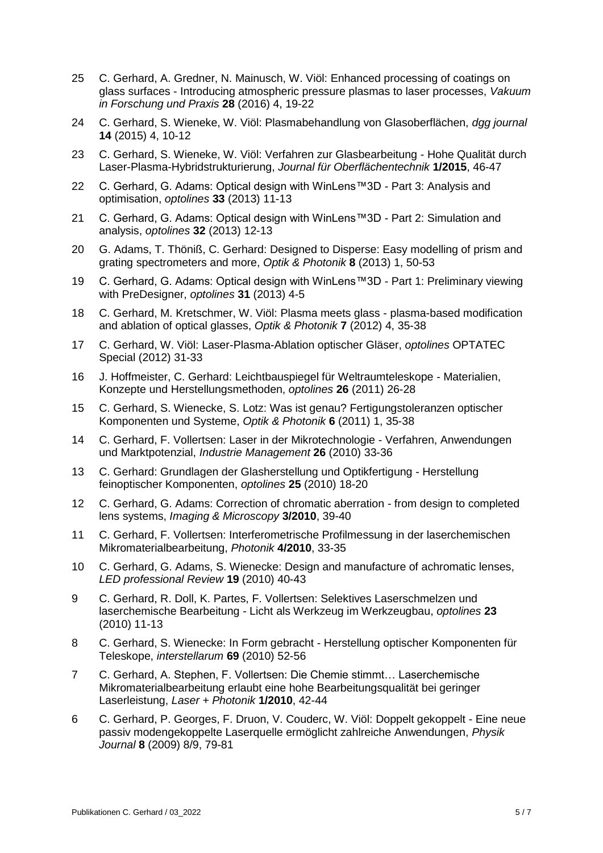- 25 C. Gerhard, A. Gredner, N. Mainusch, W. Viöl: Enhanced processing of coatings on glass surfaces - Introducing atmospheric pressure plasmas to laser processes, *Vakuum in Forschung und Praxis* **28** (2016) 4, 19-22
- 24 C. Gerhard, S. Wieneke, W. Viöl: Plasmabehandlung von Glasoberflächen, *dgg journal* **14** (2015) 4, 10-12
- 23 C. Gerhard, S. Wieneke, W. Viöl: Verfahren zur Glasbearbeitung Hohe Qualität durch Laser-Plasma-Hybridstrukturierung, *Journal für Oberflächentechnik* **1/2015**, 46-47
- 22 C. Gerhard, G. Adams: Optical design with WinLens™3D Part 3: Analysis and optimisation, *optolines* **33** (2013) 11-13
- 21 C. Gerhard, G. Adams: Optical design with WinLens™3D Part 2: Simulation and analysis, *optolines* **32** (2013) 12-13
- 20 G. Adams, T. Thöniß, C. Gerhard: Designed to Disperse: Easy modelling of prism and grating spectrometers and more, *Optik & Photonik* **8** (2013) 1, 50-53
- 19 C. Gerhard, G. Adams: Optical design with WinLens™3D Part 1: Preliminary viewing with PreDesigner, *optolines* **31** (2013) 4-5
- 18 C. Gerhard, M. Kretschmer, W. Viöl: Plasma meets glass plasma-based modification and ablation of optical glasses, *Optik & Photonik* **7** (2012) 4, 35-38
- 17 C. Gerhard, W. Viöl: Laser-Plasma-Ablation optischer Gläser, *optolines* OPTATEC Special (2012) 31-33
- 16 J. Hoffmeister, C. Gerhard: Leichtbauspiegel für Weltraumteleskope Materialien, Konzepte und Herstellungsmethoden, *optolines* **26** (2011) 26-28
- 15 C. Gerhard, S. Wienecke, S. Lotz: Was ist genau? Fertigungstoleranzen optischer Komponenten und Systeme, *Optik & Photonik* **6** (2011) 1, 35-38
- 14 C. Gerhard, F. Vollertsen: Laser in der Mikrotechnologie Verfahren, Anwendungen und Marktpotenzial, *Industrie Management* **26** (2010) 33-36
- 13 C. Gerhard: Grundlagen der Glasherstellung und Optikfertigung Herstellung feinoptischer Komponenten, *optolines* **25** (2010) 18-20
- 12 C. Gerhard, G. Adams: Correction of chromatic aberration from design to completed lens systems, *Imaging & Microscopy* **3/2010**, 39-40
- 11 C. Gerhard, F. Vollertsen: Interferometrische Profilmessung in der laserchemischen Mikromaterialbearbeitung, *Photonik* **4/2010**, 33-35
- 10 C. Gerhard, G. Adams, S. Wienecke: Design and manufacture of achromatic lenses, *LED professional Review* **19** (2010) 40-43
- 9 C. Gerhard, R. Doll, K. Partes, F. Vollertsen: Selektives Laserschmelzen und laserchemische Bearbeitung - Licht als Werkzeug im Werkzeugbau, *optolines* **23** (2010) 11-13
- 8 C. Gerhard, S. Wienecke: In Form gebracht Herstellung optischer Komponenten für Teleskope, *interstellarum* **69** (2010) 52-56
- 7 C. Gerhard, A. Stephen, F. Vollertsen: Die Chemie stimmt… Laserchemische Mikromaterialbearbeitung erlaubt eine hohe Bearbeitungsqualität bei geringer Laserleistung, *Laser + Photonik* **1/2010**, 42-44
- 6 C. Gerhard, P. Georges, F. Druon, V. Couderc, W. Viöl: Doppelt gekoppelt Eine neue passiv modengekoppelte Laserquelle ermöglicht zahlreiche Anwendungen, *Physik Journal* **8** (2009) 8/9, 79-81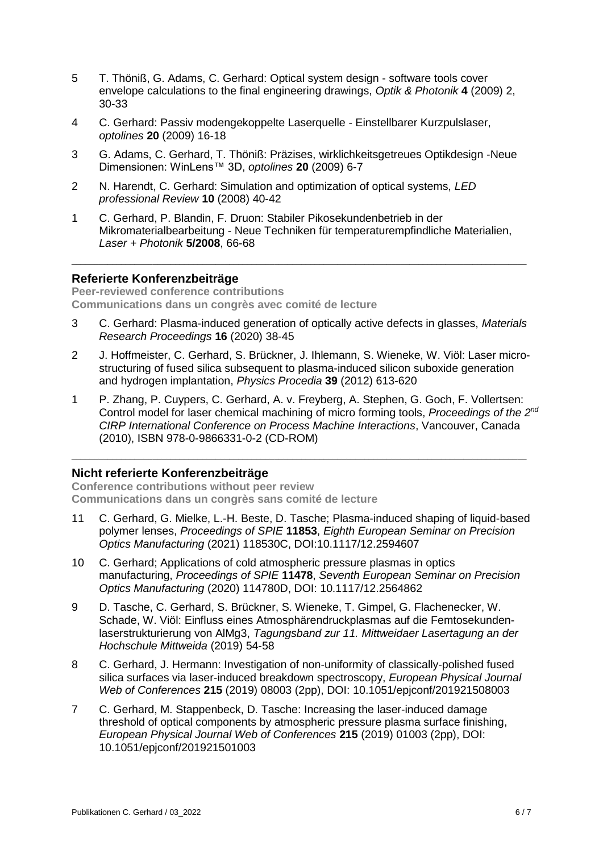- 5 T. Thöniß, G. Adams, C. Gerhard: Optical system design software tools cover envelope calculations to the final engineering drawings, *Optik & Photonik* **4** (2009) 2, 30-33
- 4 C. Gerhard: Passiv modengekoppelte Laserquelle Einstellbarer Kurzpulslaser, *optolines* **20** (2009) 16-18
- 3 G. Adams, C. Gerhard, T. Thöniß: Präzises, wirklichkeitsgetreues Optikdesign -Neue Dimensionen: WinLens™ 3D, *optolines* **20** (2009) 6-7
- 2 N. Harendt, C. Gerhard: Simulation and optimization of optical systems, *LED professional Review* **10** (2008) 40-42
- 1 C. Gerhard, P. Blandin, F. Druon: Stabiler Pikosekundenbetrieb in der Mikromaterialbearbeitung - Neue Techniken für temperaturempfindliche Materialien, *Laser + Photonik* **5/2008**, 66-68

\_\_\_\_\_\_\_\_\_\_\_\_\_\_\_\_\_\_\_\_\_\_\_\_\_\_\_\_\_\_\_\_\_\_\_\_\_\_\_\_\_\_\_\_\_\_\_\_\_\_\_\_\_\_\_\_\_\_\_\_\_\_\_\_\_\_\_\_\_\_\_\_\_\_\_\_\_\_\_\_\_\_\_\_\_\_\_\_\_\_\_\_\_\_\_\_\_\_\_\_\_

#### **Referierte Konferenzbeiträge**

**Peer-reviewed conference contributions Communications dans un congrès avec comité de lecture**

- 3 C. Gerhard: Plasma-induced generation of optically active defects in glasses, *Materials Research Proceedings* **16** (2020) 38-45
- 2 J. Hoffmeister, C. Gerhard, S. Brückner, J. Ihlemann, S. Wieneke, W. Viöl: Laser microstructuring of fused silica subsequent to plasma-induced silicon suboxide generation and hydrogen implantation, *Physics Procedia* **39** (2012) 613-620
- 1 P. Zhang, P. Cuypers, C. Gerhard, A. v. Freyberg, A. Stephen, G. Goch, F. Vollertsen: Control model for laser chemical machining of micro forming tools, *Proceedings of the 2<sup>nd</sup> CIRP International Conference on Process Machine Interactions*, Vancouver, Canada (2010), ISBN 978-0-9866331-0-2 (CD-ROM)

\_\_\_\_\_\_\_\_\_\_\_\_\_\_\_\_\_\_\_\_\_\_\_\_\_\_\_\_\_\_\_\_\_\_\_\_\_\_\_\_\_\_\_\_\_\_\_\_\_\_\_\_\_\_\_\_\_\_\_\_\_\_\_\_\_\_\_\_\_\_\_\_\_\_\_\_\_\_\_\_\_\_\_\_\_\_\_\_\_\_\_\_\_\_\_\_\_\_\_\_\_

### **Nicht referierte Konferenzbeiträge**

**Conference contributions without peer review Communications dans un congrès sans comité de lecture**

- 11 C. Gerhard, G. Mielke, L.-H. Beste, D. Tasche; Plasma-induced shaping of liquid-based polymer lenses, *Proceedings of SPIE* **11853**, *Eighth European Seminar on Precision Optics Manufacturing* (2021) 118530C, DOI:10.1117/12.2594607
- 10 C. Gerhard; Applications of cold atmospheric pressure plasmas in optics manufacturing, *Proceedings of SPIE* **11478**, *Seventh European Seminar on Precision Optics Manufacturing* (2020) 114780D, DOI: 10.1117/12.2564862
- 9 D. Tasche, C. Gerhard, S. Brückner, S. Wieneke, T. Gimpel, G. Flachenecker, W. Schade, W. Viöl: Einfluss eines Atmosphärendruckplasmas auf die Femtosekundenlaserstrukturierung von AlMg3, *Tagungsband zur 11. Mittweidaer Lasertagung an der Hochschule Mittweida* (2019) 54-58
- 8 C. Gerhard, J. Hermann: Investigation of non-uniformity of classically-polished fused silica surfaces via laser-induced breakdown spectroscopy, *European Physical Journal Web of Conferences* **215** (2019) 08003 (2pp), DOI: 10.1051/epjconf/201921508003
- 7 C. Gerhard, M. Stappenbeck, D. Tasche: Increasing the laser-induced damage threshold of optical components by atmospheric pressure plasma surface finishing, *European Physical Journal Web of Conferences* **215** (2019) 01003 (2pp), DOI: 10.1051/epjconf/201921501003